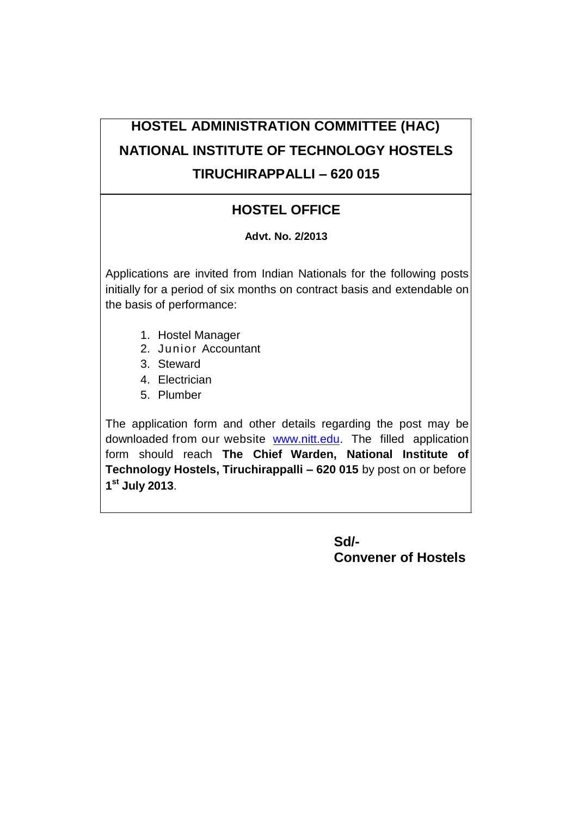# **HOSTEL ADMINISTRATION COMMITTEE (HAC) NATIONAL INSTITUTE OF TECHNOLOGY HOSTELS TIRUCHIRAPPALLI – 620 015**

## **HOSTEL OFFICE**

## **Advt. No. 2/2013**

Applications are invited from Indian Nationals for the following posts initially for a period of six months on contract basis and extendable on the basis of performance:

- 1. Hostel Manager
- 2. Junior Accountant
- 3. Steward
- 4. Electrician
- 5. Plumber

The application form and other details regarding the post may be downloaded from our website [www.nitt.edu.](http://www.nitt.edu/) The filled application form should reach **The Chief Warden, National Institute of Technology Hostels, Tiruchirappalli – 620 015** by post on or before **1 st July 2013**.

> **Sd/- Convener of Hostels**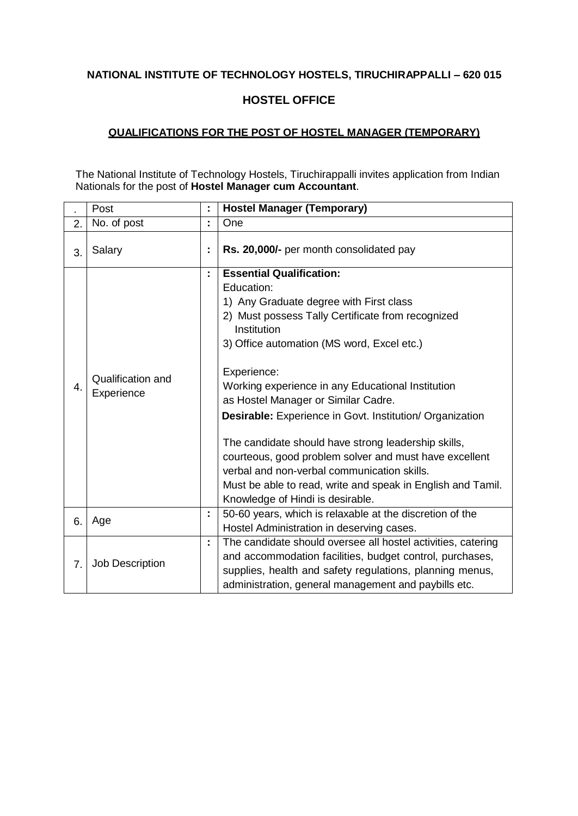## **HOSTEL OFFICE**

#### **QUALIFICATIONS FOR THE POST OF HOSTEL MANAGER (TEMPORARY)**

The National Institute of Technology Hostels, Tiruchirappalli invites application from Indian Nationals for the post of **Hostel Manager cum Accountant**.

|    | Post                            | ÷  | <b>Hostel Manager (Temporary)</b>                                                                                                                                                                                                                                                                                                                                                                                                                                                                                                                                                                                                                           |
|----|---------------------------------|----|-------------------------------------------------------------------------------------------------------------------------------------------------------------------------------------------------------------------------------------------------------------------------------------------------------------------------------------------------------------------------------------------------------------------------------------------------------------------------------------------------------------------------------------------------------------------------------------------------------------------------------------------------------------|
| 2. | No. of post                     | t  | One                                                                                                                                                                                                                                                                                                                                                                                                                                                                                                                                                                                                                                                         |
| 3. | Salary                          | ÷  | Rs. 20,000/- per month consolidated pay                                                                                                                                                                                                                                                                                                                                                                                                                                                                                                                                                                                                                     |
| 4. | Qualification and<br>Experience | ÷  | <b>Essential Qualification:</b><br>Education:<br>1) Any Graduate degree with First class<br>2) Must possess Tally Certificate from recognized<br>Institution<br>3) Office automation (MS word, Excel etc.)<br>Experience:<br>Working experience in any Educational Institution<br>as Hostel Manager or Similar Cadre.<br><b>Desirable:</b> Experience in Govt. Institution/ Organization<br>The candidate should have strong leadership skills,<br>courteous, good problem solver and must have excellent<br>verbal and non-verbal communication skills.<br>Must be able to read, write and speak in English and Tamil.<br>Knowledge of Hindi is desirable. |
| 6. | Age                             | ÷, | 50-60 years, which is relaxable at the discretion of the<br>Hostel Administration in deserving cases.                                                                                                                                                                                                                                                                                                                                                                                                                                                                                                                                                       |
| 7. | Job Description                 | ř, | The candidate should oversee all hostel activities, catering<br>and accommodation facilities, budget control, purchases,<br>supplies, health and safety regulations, planning menus,<br>administration, general management and paybills etc.                                                                                                                                                                                                                                                                                                                                                                                                                |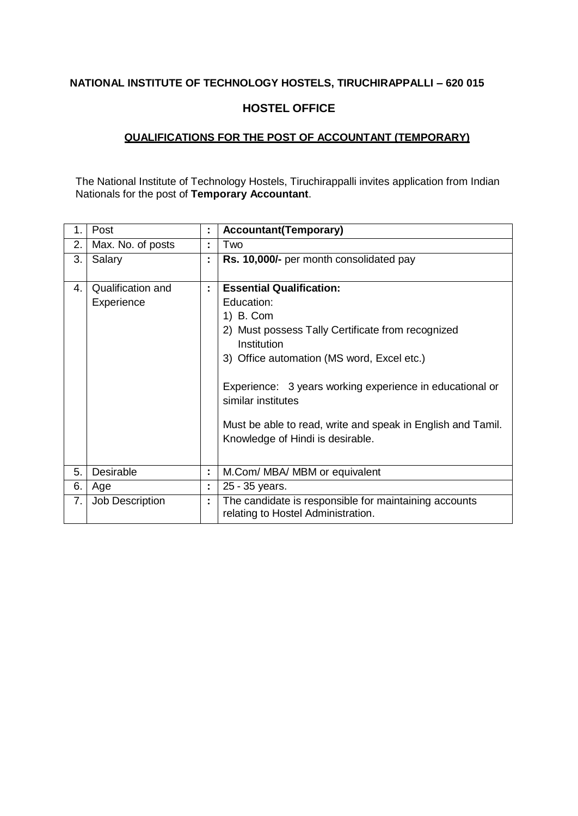#### **HOSTEL OFFICE**

## **QUALIFICATIONS FOR THE POST OF ACCOUNTANT (TEMPORARY)**

The National Institute of Technology Hostels, Tiruchirappalli invites application from Indian Nationals for the post of **Temporary Accountant**.

| 1. | Post                            | t. | <b>Accountant(Temporary)</b>                                                                                                                                                                                                                                                                                                                                      |
|----|---------------------------------|----|-------------------------------------------------------------------------------------------------------------------------------------------------------------------------------------------------------------------------------------------------------------------------------------------------------------------------------------------------------------------|
| 2. | Max. No. of posts               | ÷  | Two                                                                                                                                                                                                                                                                                                                                                               |
| 3. | Salary                          | ÷  | Rs. 10,000/- per month consolidated pay                                                                                                                                                                                                                                                                                                                           |
| 4. | Qualification and<br>Experience | ÷  | <b>Essential Qualification:</b><br>Education:<br>1) B. Com<br>2) Must possess Tally Certificate from recognized<br>Institution<br>3) Office automation (MS word, Excel etc.)<br>Experience: 3 years working experience in educational or<br>similar institutes<br>Must be able to read, write and speak in English and Tamil.<br>Knowledge of Hindi is desirable. |
| 5. | Desirable                       | ÷  | M.Com/ MBA/ MBM or equivalent                                                                                                                                                                                                                                                                                                                                     |
| 6. | Age                             | ÷  | 25 - 35 years.                                                                                                                                                                                                                                                                                                                                                    |
| 7. | <b>Job Description</b>          | ÷  | The candidate is responsible for maintaining accounts<br>relating to Hostel Administration.                                                                                                                                                                                                                                                                       |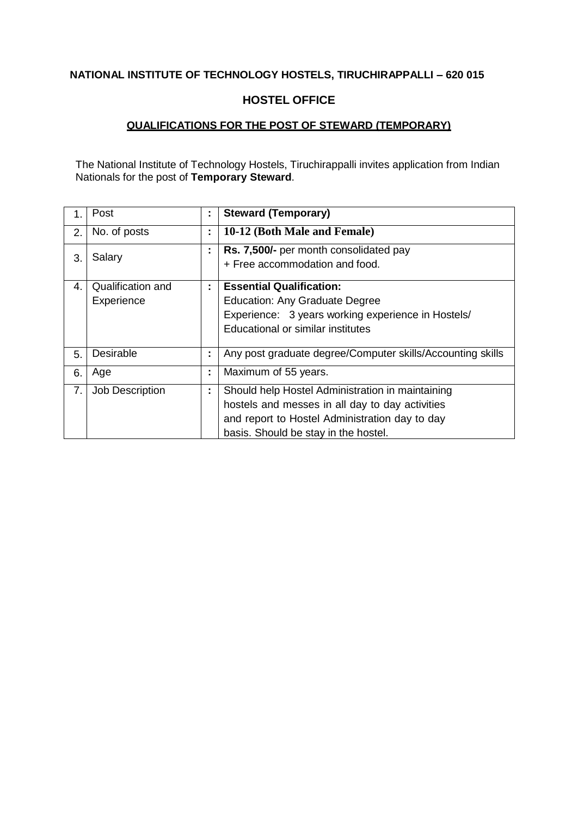#### **HOSTEL OFFICE**

## **QUALIFICATIONS FOR THE POST OF STEWARD (TEMPORARY)**

The National Institute of Technology Hostels, Tiruchirappalli invites application from Indian Nationals for the post of **Temporary Steward**.

|    | Post              | ÷ | <b>Steward (Temporary)</b>                                 |
|----|-------------------|---|------------------------------------------------------------|
| 2. | No. of posts      | t | 10-12 (Both Male and Female)                               |
| 3. | Salary            | ÷ | Rs. 7,500/- per month consolidated pay                     |
|    |                   |   | + Free accommodation and food.                             |
| 4. | Qualification and | ÷ | <b>Essential Qualification:</b>                            |
|    | Experience        |   | <b>Education: Any Graduate Degree</b>                      |
|    |                   |   | Experience: 3 years working experience in Hostels/         |
|    |                   |   | Educational or similar institutes                          |
| 5. | Desirable         | ÷ | Any post graduate degree/Computer skills/Accounting skills |
| 6. | Age               | ÷ | Maximum of 55 years.                                       |
| 7. | Job Description   | ÷ | Should help Hostel Administration in maintaining           |
|    |                   |   | hostels and messes in all day to day activities            |
|    |                   |   | and report to Hostel Administration day to day             |
|    |                   |   | basis. Should be stay in the hostel.                       |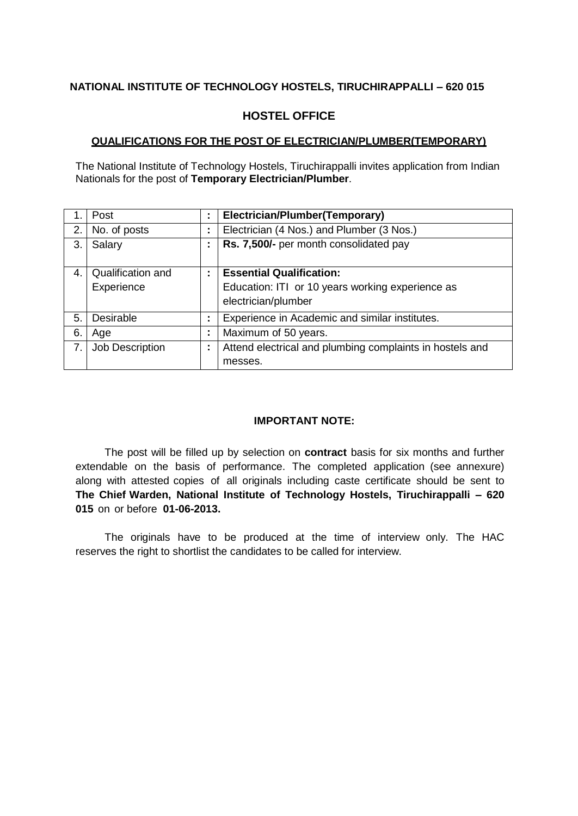## **HOSTEL OFFICE**

#### **QUALIFICATIONS FOR THE POST OF ELECTRICIAN/PLUMBER(TEMPORARY)**

The National Institute of Technology Hostels, Tiruchirappalli invites application from Indian Nationals for the post of **Temporary Electrician/Plumber**.

|    | Post                     | ÷                   | Electrician/Plumber(Temporary)                           |
|----|--------------------------|---------------------|----------------------------------------------------------|
| 2. | No. of posts             | ٠<br>$\blacksquare$ | Electrician (4 Nos.) and Plumber (3 Nos.)                |
| 3. | Salary                   | ٠<br>$\blacksquare$ | Rs. 7,500/- per month consolidated pay                   |
| 4. | <b>Qualification and</b> | ÷                   | <b>Essential Qualification:</b>                          |
|    | Experience               |                     | Education: ITI or 10 years working experience as         |
|    |                          |                     | electrician/plumber                                      |
| 5. | Desirable                | ÷                   | Experience in Academic and similar institutes.           |
| 6. | Age                      | ٠<br>٠              | Maximum of 50 years.                                     |
| 7. | Job Description          | ٠<br>$\blacksquare$ | Attend electrical and plumbing complaints in hostels and |
|    |                          |                     | messes.                                                  |

#### **IMPORTANT NOTE:**

The post will be filled up by selection on **contract** basis for six months and further extendable on the basis of performance. The completed application (see annexure) along with attested copies of all originals including caste certificate should be sent to **The Chief Warden, National Institute of Technology Hostels, Tiruchirappalli – 620 015** on or before **01-06-2013.**

The originals have to be produced at the time of interview only. The HAC reserves the right to shortlist the candidates to be called for interview.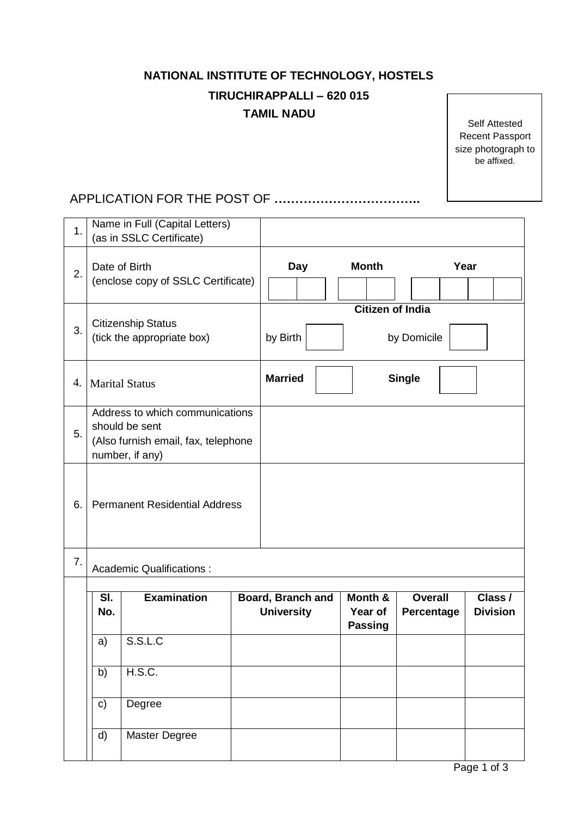## **NATIONAL INSTITUTE OF TECHNOLOGY, HOSTELS**

## **TIRUCHIRAPPALLI – 620 015 TAMIL NADU**

Self Attested Recent Passport size photograph to be affixed.

## APPLICATION FOR THE POST OF **……………………………..**

| 1. | Name in Full (Capital Letters)<br>(as in SSLC Certificate) |                                                                                                             |            |                                               |                                      |                              |  |                            |  |
|----|------------------------------------------------------------|-------------------------------------------------------------------------------------------------------------|------------|-----------------------------------------------|--------------------------------------|------------------------------|--|----------------------------|--|
| 2. |                                                            | Date of Birth<br>(enclose copy of SSLC Certificate)                                                         | <b>Day</b> | <b>Month</b>                                  |                                      | Year                         |  |                            |  |
| 3. |                                                            | <b>Citizenship Status</b><br>(tick the appropriate box)                                                     | by Birth   | <b>Citizen of India</b><br>by Domicile        |                                      |                              |  |                            |  |
| 4. |                                                            | <b>Marital Status</b>                                                                                       |            | <b>Married</b><br><b>Single</b>               |                                      |                              |  |                            |  |
| 5. |                                                            | Address to which communications<br>should be sent<br>(Also furnish email, fax, telephone<br>number, if any) |            |                                               |                                      |                              |  |                            |  |
| 6. |                                                            | <b>Permanent Residential Address</b>                                                                        |            |                                               |                                      |                              |  |                            |  |
| 7. | <b>Academic Qualifications:</b>                            |                                                                                                             |            |                                               |                                      |                              |  |                            |  |
|    | SI.<br>No.                                                 | <b>Examination</b>                                                                                          |            | <b>Board, Branch and</b><br><b>University</b> | Month &<br>Year of<br><b>Passing</b> | <b>Overall</b><br>Percentage |  | Class /<br><b>Division</b> |  |
|    | a)                                                         | S.S.L.C                                                                                                     |            |                                               |                                      |                              |  |                            |  |
|    | b)                                                         | H.S.C.                                                                                                      |            |                                               |                                      |                              |  |                            |  |
|    | $\mathbf{c}$                                               | Degree                                                                                                      |            |                                               |                                      |                              |  |                            |  |
|    | d)                                                         | Master Degree                                                                                               |            |                                               |                                      |                              |  |                            |  |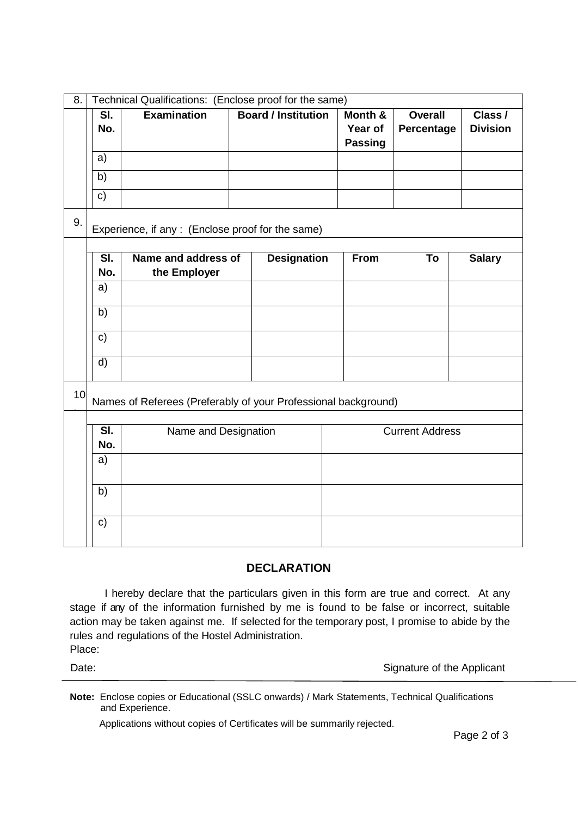| 8. | Technical Qualifications: (Enclose proof for the same) |                                   |                                                                |  |                            |  |                               |                              |                            |
|----|--------------------------------------------------------|-----------------------------------|----------------------------------------------------------------|--|----------------------------|--|-------------------------------|------------------------------|----------------------------|
|    |                                                        | $\overline{\mathsf{SI}}$ .<br>No. | <b>Examination</b>                                             |  | <b>Board / Institution</b> |  | Month &<br>Year of<br>Passing | <b>Overall</b><br>Percentage | Class /<br><b>Division</b> |
|    | a)                                                     |                                   |                                                                |  |                            |  |                               |                              |                            |
|    | b)                                                     |                                   |                                                                |  |                            |  |                               |                              |                            |
|    | $\mathbf{c})$                                          |                                   |                                                                |  |                            |  |                               |                              |                            |
| 9. |                                                        |                                   | Experience, if any : (Enclose proof for the same)              |  |                            |  |                               |                              |                            |
|    |                                                        | $\overline{\mathsf{SI}}$          | Name and address of                                            |  | <b>Designation</b>         |  | <b>From</b>                   | To                           | <b>Salary</b>              |
|    |                                                        | No.                               | the Employer                                                   |  |                            |  |                               |                              |                            |
|    | a)                                                     |                                   |                                                                |  |                            |  |                               |                              |                            |
|    | b)                                                     |                                   |                                                                |  |                            |  |                               |                              |                            |
|    | $\mathsf{c}$                                           |                                   |                                                                |  |                            |  |                               |                              |                            |
|    | $\overline{d}$                                         |                                   |                                                                |  |                            |  |                               |                              |                            |
| 10 |                                                        |                                   | Names of Referees (Preferably of your Professional background) |  |                            |  |                               |                              |                            |
|    |                                                        |                                   |                                                                |  |                            |  |                               |                              |                            |
|    |                                                        | $\overline{\mathsf{SI}}$ .<br>No. | Name and Designation                                           |  |                            |  |                               | <b>Current Address</b>       |                            |
|    | a)                                                     |                                   |                                                                |  |                            |  |                               |                              |                            |
|    | b)                                                     |                                   |                                                                |  |                            |  |                               |                              |                            |
|    | c)                                                     |                                   |                                                                |  |                            |  |                               |                              |                            |

## **DECLARATION**

I hereby declare that the particulars given in this form are true and correct. At any stage if any of the information furnished by me is found to be false or incorrect, suitable action may be taken against me. If selected for the temporary post, I promise to abide by the rules and regulations of the Hostel Administration. Place:

Date: **Date:** Signature of the Applicant

**Note:** Enclose copies or Educational (SSLC onwards) / Mark Statements, Technical Qualifications and Experience.

Applications without copies of Certificates will be summarily rejected.